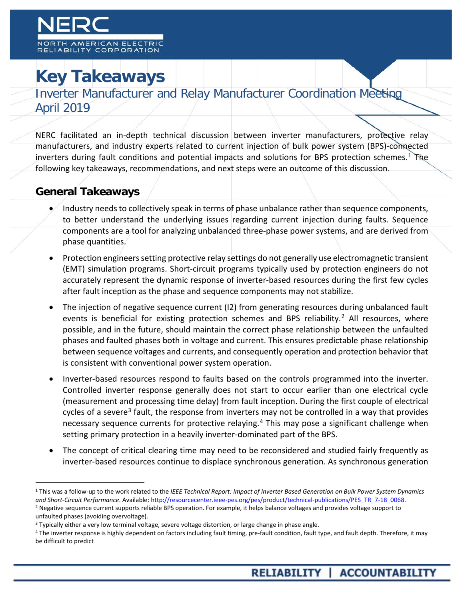# **Key Takeaways**

Inverter Manufacturer and Relay Manufacturer Coordination Meeting April 2019

NERC facilitated an in-depth technical discussion between inverter manufacturers, protective relay manufacturers, and industry experts related to current injection of bulk power system (BPS)-connected inverters during fault conditions and potential impacts and solutions for BPS protection schemes.<sup>[1](#page-0-0)</sup> The following key takeaways, recommendations, and next steps were an outcome of this discussion.

#### **General Takeaways**

- Industry needs to collectively speak in terms of phase unbalance rather than sequence components, to better understand the underlying issues regarding current injection during faults. Sequence components are a tool for analyzing unbalanced three-phase power systems, and are derived from phase quantities.
- Protection engineers setting protective relay settings do not generally use electromagnetic transient (EMT) simulation programs. Short-circuit programs typically used by protection engineers do not accurately represent the dynamic response of inverter-based resources during the first few cycles after fault inception as the phase and sequence components may not stabilize.
- The injection of negative sequence current (I2) from generating resources during unbalanced fault events is beneficial for existing protection schemes and BPS reliability.<sup>[2](#page-0-1)</sup> All resources, where possible, and in the future, should maintain the correct phase relationship between the unfaulted phases and faulted phases both in voltage and current. This ensures predictable phase relationship between sequence voltages and currents, and consequently operation and protection behavior that is consistent with conventional power system operation.
- Inverter-based resources respond to faults based on the controls programmed into the inverter. Controlled inverter response generally does not start to occur earlier than one electrical cycle (measurement and processing time delay) from fault inception. During the first couple of electrical cycles of a severe<sup>[3](#page-0-2)</sup> fault, the response from inverters may not be controlled in a way that provides necessary sequence currents for protective relaying.<sup>[4](#page-0-3)</sup> This may pose a significant challenge when setting primary protection in a heavily inverter-dominated part of the BPS.
- The concept of critical clearing time may need to be reconsidered and studied fairly frequently as inverter-based resources continue to displace synchronous generation. As synchronous generation

<span id="page-0-1"></span><span id="page-0-0"></span> <sup>1</sup> This was a follow-up to the work related to the *IEEE Technical Report: Impact of Inverter Based Generation on Bulk Power System Dynamics*  and Short-Circuit Performance. Available[: http://resourcecenter.ieee-pes.org/pes/product/technical-publications/PES\\_TR\\_7-18\\_0068.](http://resourcecenter.ieee-pes.org/pes/product/technical-publications/PES_TR_7-18_0068) <sup>2</sup> Negative sequence current supports reliable BPS operation. For example, it helps balance voltages and provides voltage support to unfaulted phases (avoiding overvoltage).

<span id="page-0-2"></span><sup>&</sup>lt;sup>3</sup> Typically either a very low terminal voltage, severe voltage distortion, or large change in phase angle.

<span id="page-0-3"></span><sup>&</sup>lt;sup>4</sup> The inverter response is highly dependent on factors including fault timing, pre-fault condition, fault type, and fault depth. Therefore, it may be difficult to predict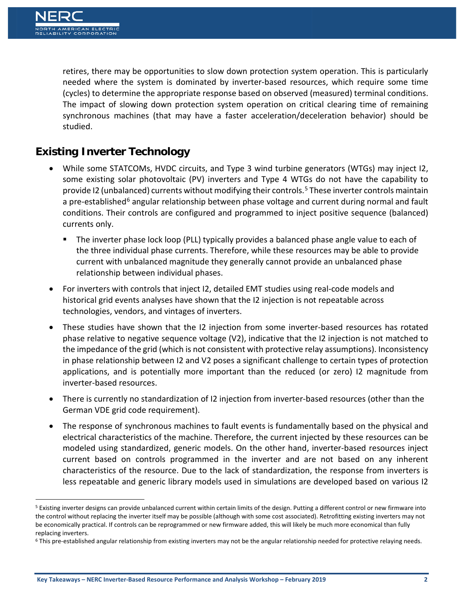retires, there may be opportunities to slow down protection system operation. This is particularly needed where the system is dominated by inverter-based resources, which require some time (cycles) to determine the appropriate response based on observed (measured) terminal conditions. The impact of slowing down protection system operation on critical clearing time of remaining synchronous machines (that may have a faster acceleration/deceleration behavior) should be studied.

## **Existing Inverter Technology**

- While some STATCOMs, HVDC circuits, and Type 3 wind turbine generators (WTGs) may inject I2, some existing solar photovoltaic (PV) inverters and Type 4 WTGs do not have the capability to provide I2 (unbalanced) currents without modifying their controls. [5](#page-1-0) These inverter controls maintain a pre-established<sup>[6](#page-1-1)</sup> angular relationship between phase voltage and current during normal and fault conditions. Their controls are configured and programmed to inject positive sequence (balanced) currents only.
	- The inverter phase lock loop (PLL) typically provides a balanced phase angle value to each of the three individual phase currents. Therefore, while these resources may be able to provide current with unbalanced magnitude they generally cannot provide an unbalanced phase relationship between individual phases.
- For inverters with controls that inject I2, detailed EMT studies using real-code models and historical grid events analyses have shown that the I2 injection is not repeatable across technologies, vendors, and vintages of inverters.
- These studies have shown that the I2 injection from some inverter-based resources has rotated phase relative to negative sequence voltage (V2), indicative that the I2 injection is not matched to the impedance of the grid (which is not consistent with protective relay assumptions). Inconsistency in phase relationship between I2 and V2 poses a significant challenge to certain types of protection applications, and is potentially more important than the reduced (or zero) I2 magnitude from inverter-based resources.
- There is currently no standardization of I2 injection from inverter-based resources (other than the German VDE grid code requirement).
- The response of synchronous machines to fault events is fundamentally based on the physical and electrical characteristics of the machine. Therefore, the current injected by these resources can be modeled using standardized, generic models. On the other hand, inverter-based resources inject current based on controls programmed in the inverter and are not based on any inherent characteristics of the resource. Due to the lack of standardization, the response from inverters is less repeatable and generic library models used in simulations are developed based on various I2

<span id="page-1-0"></span><sup>&</sup>lt;sup>5</sup> Existing inverter designs can provide unbalanced current within certain limits of the design. Putting a different control or new firmware into the control without replacing the inverter itself may be possible (although with some cost associated). Retrofitting existing inverters may not be economically practical. If controls can be reprogrammed or new firmware added, this will likely be much more economical than fully replacing inverters.

<span id="page-1-1"></span><sup>&</sup>lt;sup>6</sup> This pre-established angular relationship from existing inverters may not be the angular relationship needed for protective relaying needs.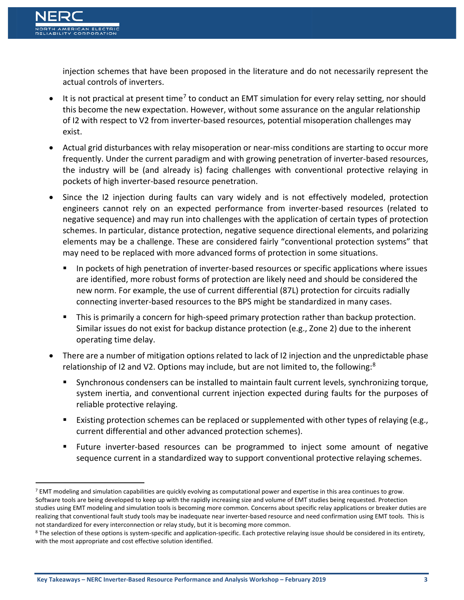injection schemes that have been proposed in the literature and do not necessarily represent the actual controls of inverters.

- $\bullet$  It is not practical at present time<sup>[7](#page-2-0)</sup> to conduct an EMT simulation for every relay setting, nor should this become the new expectation. However, without some assurance on the angular relationship of I2 with respect to V2 from inverter-based resources, potential misoperation challenges may exist.
- Actual grid disturbances with relay misoperation or near-miss conditions are starting to occur more frequently. Under the current paradigm and with growing penetration of inverter-based resources, the industry will be (and already is) facing challenges with conventional protective relaying in pockets of high inverter-based resource penetration.
- Since the I2 injection during faults can vary widely and is not effectively modeled, protection engineers cannot rely on an expected performance from inverter-based resources (related to negative sequence) and may run into challenges with the application of certain types of protection schemes. In particular, distance protection, negative sequence directional elements, and polarizing elements may be a challenge. These are considered fairly "conventional protection systems" that may need to be replaced with more advanced forms of protection in some situations.
	- **IF In pockets of high penetration of inverter-based resources or specific applications where issues** are identified, more robust forms of protection are likely need and should be considered the new norm. For example, the use of current differential (87L) protection for circuits radially connecting inverter-based resources to the BPS might be standardized in many cases.
	- **This is primarily a concern for high-speed primary protection rather than backup protection.** Similar issues do not exist for backup distance protection (e.g., Zone 2) due to the inherent operating time delay.
- There are a number of mitigation options related to lack of I2 injection and the unpredictable phase relationship of I2 and V2. Options may include, but are not limited to, the following:<sup>[8](#page-2-1)</sup>
	- Synchronous condensers can be installed to maintain fault current levels, synchronizing torque, system inertia, and conventional current injection expected during faults for the purposes of reliable protective relaying.
	- **Existing protection schemes can be replaced or supplemented with other types of relaying (e.g.,** current differential and other advanced protection schemes).
	- Future inverter-based resources can be programmed to inject some amount of negative sequence current in a standardized way to support conventional protective relaying schemes.

<span id="page-2-0"></span><sup>&</sup>lt;sup>7</sup> EMT modeling and simulation capabilities are quickly evolving as computational power and expertise in this area continues to grow. Software tools are being developed to keep up with the rapidly increasing size and volume of EMT studies being requested. Protection studies using EMT modeling and simulation tools is becoming more common. Concerns about specific relay applications or breaker duties are realizing that conventional fault study tools may be inadequate near inverter-based resource and need confirmation using EMT tools. This is not standardized for every interconnection or relay study, but it is becoming more common.

<span id="page-2-1"></span><sup>&</sup>lt;sup>8</sup> The selection of these options is system-specific and application-specific. Each protective relaying issue should be considered in its entirety, with the most appropriate and cost effective solution identified.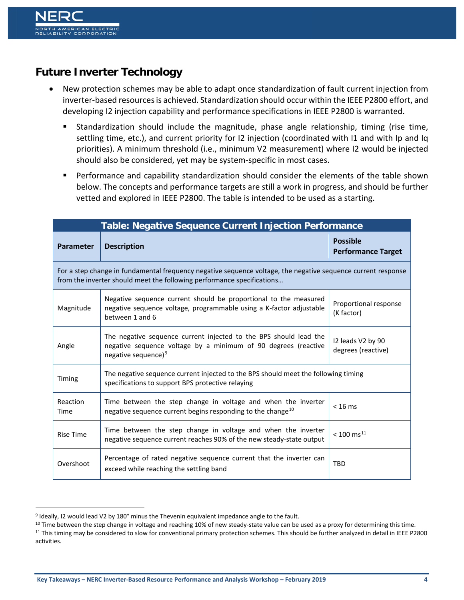## **Future Inverter Technology**

- New protection schemes may be able to adapt once standardization of fault current injection from inverter-based resources is achieved. Standardization should occur within the IEEE P2800 effort, and developing I2 injection capability and performance specifications in IEEE P2800 is warranted.
	- Standardization should include the magnitude, phase angle relationship, timing (rise time, settling time, etc.), and current priority for I2 injection (coordinated with I1 and with Ip and Iq priorities). A minimum threshold (i.e., minimum V2 measurement) where I2 would be injected should also be considered, yet may be system-specific in most cases.
	- Performance and capability standardization should consider the elements of the table shown below. The concepts and performance targets are still a work in progress, and should be further vetted and explored in IEEE P2800. The table is intended to be used as a starting.

| <b>Table: Negative Sequence Current Injection Performance</b>                                                                                                                          |                                                                                                                                                                        |                                              |
|----------------------------------------------------------------------------------------------------------------------------------------------------------------------------------------|------------------------------------------------------------------------------------------------------------------------------------------------------------------------|----------------------------------------------|
| Parameter                                                                                                                                                                              | <b>Description</b>                                                                                                                                                     | <b>Possible</b><br><b>Performance Target</b> |
| For a step change in fundamental frequency negative sequence voltage, the negative sequence current response<br>from the inverter should meet the following performance specifications |                                                                                                                                                                        |                                              |
| Magnitude                                                                                                                                                                              | Negative sequence current should be proportional to the measured<br>negative sequence voltage, programmable using a K-factor adjustable<br>between 1 and 6             | Proportional response<br>(K factor)          |
| Angle                                                                                                                                                                                  | The negative sequence current injected to the BPS should lead the<br>negative sequence voltage by a minimum of 90 degrees (reactive<br>negative sequence) <sup>9</sup> | I2 leads V2 by 90<br>degrees (reactive)      |
| Timing                                                                                                                                                                                 | The negative sequence current injected to the BPS should meet the following timing<br>specifications to support BPS protective relaying                                |                                              |
| Reaction<br>Time                                                                                                                                                                       | Time between the step change in voltage and when the inverter<br>negative sequence current begins responding to the change <sup>10</sup>                               | $< 16$ ms                                    |
| <b>Rise Time</b>                                                                                                                                                                       | Time between the step change in voltage and when the inverter<br>negative sequence current reaches 90% of the new steady-state output                                  | $< 100$ ms <sup>11</sup>                     |
| Overshoot                                                                                                                                                                              | Percentage of rated negative sequence current that the inverter can<br>exceed while reaching the settling band                                                         | <b>TBD</b>                                   |

<span id="page-3-0"></span> <sup>9</sup> Ideally, I2 would lead V2 by 180° minus the Thevenin equivalent impedance angle to the fault.

<span id="page-3-1"></span><sup>&</sup>lt;sup>10</sup> Time between the step change in voltage and reaching 10% of new steady-state value can be used as a proxy for determining this time.

<span id="page-3-2"></span><sup>&</sup>lt;sup>11</sup> This timing may be considered to slow for conventional primary protection schemes. This should be further analyzed in detail in IEEE P2800 activities.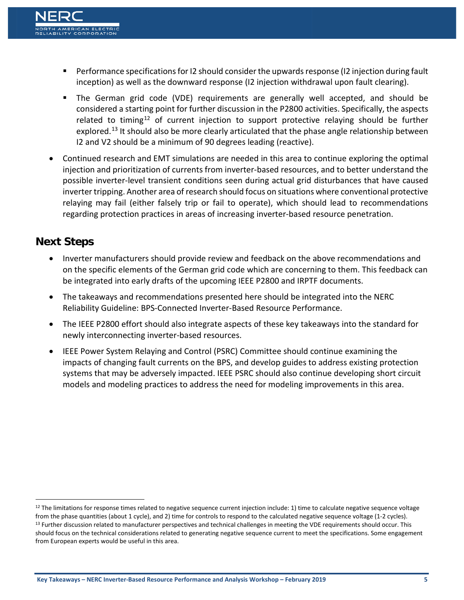- Performance specifications for I2 should consider the upwards response (I2 injection during fault inception) as well as the downward response (I2 injection withdrawal upon fault clearing).
- The German grid code (VDE) requirements are generally well accepted, and should be considered a starting point for further discussion in the P2800 activities. Specifically, the aspects related to timing<sup>[12](#page-4-0)</sup> of current injection to support protective relaying should be further explored.<sup>[13](#page-4-1)</sup> It should also be more clearly articulated that the phase angle relationship between I2 and V2 should be a minimum of 90 degrees leading (reactive).
- Continued research and EMT simulations are needed in this area to continue exploring the optimal injection and prioritization of currents from inverter-based resources, and to better understand the possible inverter-level transient conditions seen during actual grid disturbances that have caused inverter tripping. Another area of research should focus on situations where conventional protective relaying may fail (either falsely trip or fail to operate), which should lead to recommendations regarding protection practices in areas of increasing inverter-based resource penetration.

#### **Next Steps**

- Inverter manufacturers should provide review and feedback on the above recommendations and on the specific elements of the German grid code which are concerning to them. This feedback can be integrated into early drafts of the upcoming IEEE P2800 and IRPTF documents.
- The takeaways and recommendations presented here should be integrated into the NERC Reliability Guideline: BPS-Connected Inverter-Based Resource Performance.
- The IEEE P2800 effort should also integrate aspects of these key takeaways into the standard for newly interconnecting inverter-based resources.
- IEEE Power System Relaying and Control (PSRC) Committee should continue examining the impacts of changing fault currents on the BPS, and develop guides to address existing protection systems that may be adversely impacted. IEEE PSRC should also continue developing short circuit models and modeling practices to address the need for modeling improvements in this area.

<span id="page-4-1"></span><span id="page-4-0"></span> $12$  The limitations for response times related to negative sequence current injection include: 1) time to calculate negative sequence voltage from the phase quantities (about 1 cycle), and 2) time for controls to respond to the calculated negative sequence voltage (1-2 cycles). <sup>13</sup> Further discussion related to manufacturer perspectives and technical challenges in meeting the VDE requirements should occur. This should focus on the technical considerations related to generating negative sequence current to meet the specifications. Some engagement from European experts would be useful in this area.